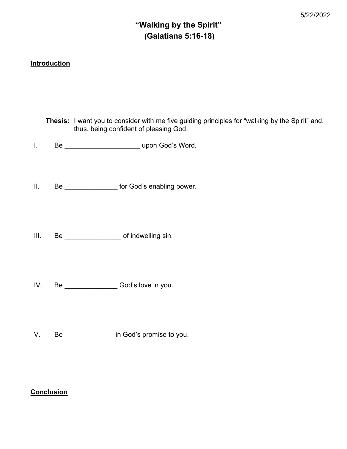# "Walking by the Spirit" (Galatians 5:16-18)

## **Introduction**

|                | <b>Thesis:</b> I want you to consider with me five guiding principles for "walking by the Spirit" and,<br>thus, being confident of pleasing God. |
|----------------|--------------------------------------------------------------------------------------------------------------------------------------------------|
| $\mathbf{I}$ . |                                                                                                                                                  |
| $\parallel$ .  | Be ____________________ for God's enabling power.                                                                                                |
| III.           |                                                                                                                                                  |
| IV.            | Be God's love in you.                                                                                                                            |
| V.             | Be _______________ in God's promise to you.                                                                                                      |

### **Conclusion**